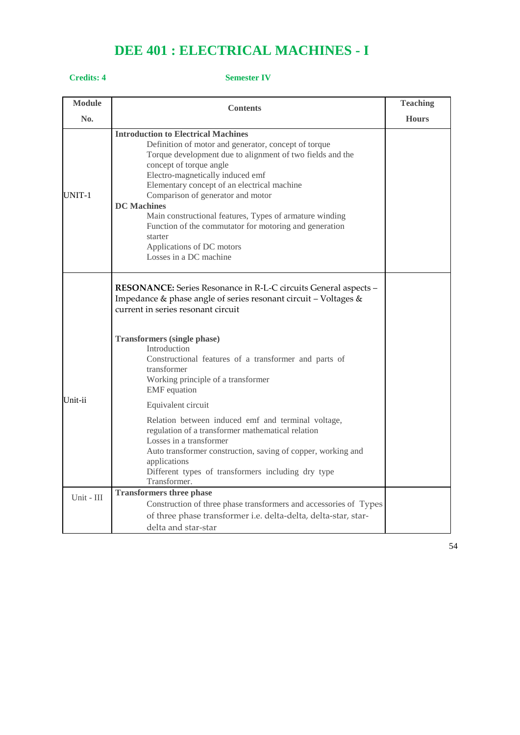# **DEE 401 : ELECTRICAL MACHINES - I**

### **Credits: 4 Semester IV**

| <b>Module</b> | <b>Contents</b>                                                                                                                                                                                                                                                                                                                                                                                                                                                                                                                 | <b>Teaching</b> |
|---------------|---------------------------------------------------------------------------------------------------------------------------------------------------------------------------------------------------------------------------------------------------------------------------------------------------------------------------------------------------------------------------------------------------------------------------------------------------------------------------------------------------------------------------------|-----------------|
| No.           |                                                                                                                                                                                                                                                                                                                                                                                                                                                                                                                                 | <b>Hours</b>    |
| UNIT-1        | <b>Introduction to Electrical Machines</b><br>Definition of motor and generator, concept of torque<br>Torque development due to alignment of two fields and the<br>concept of torque angle<br>Electro-magnetically induced emf<br>Elementary concept of an electrical machine<br>Comparison of generator and motor<br><b>DC</b> Machines<br>Main constructional features, Types of armature winding<br>Function of the commutator for motoring and generation<br>starter<br>Applications of DC motors<br>Losses in a DC machine |                 |
|               | RESONANCE: Series Resonance in R-L-C circuits General aspects -<br>Impedance & phase angle of series resonant circuit - Voltages &<br>current in series resonant circuit<br><b>Transformers (single phase)</b><br>Introduction<br>Constructional features of a transformer and parts of<br>transformer                                                                                                                                                                                                                          |                 |
| Unit-ii       | Working principle of a transformer<br><b>EMF</b> equation<br>Equivalent circuit                                                                                                                                                                                                                                                                                                                                                                                                                                                 |                 |
|               | Relation between induced emf and terminal voltage,<br>regulation of a transformer mathematical relation<br>Losses in a transformer<br>Auto transformer construction, saving of copper, working and<br>applications<br>Different types of transformers including dry type<br>Transformer.                                                                                                                                                                                                                                        |                 |
| Unit - III    | <b>Transformers three phase</b>                                                                                                                                                                                                                                                                                                                                                                                                                                                                                                 |                 |
|               | Construction of three phase transformers and accessories of Types                                                                                                                                                                                                                                                                                                                                                                                                                                                               |                 |
|               | of three phase transformer i.e. delta-delta, delta-star, star-<br>delta and star-star                                                                                                                                                                                                                                                                                                                                                                                                                                           |                 |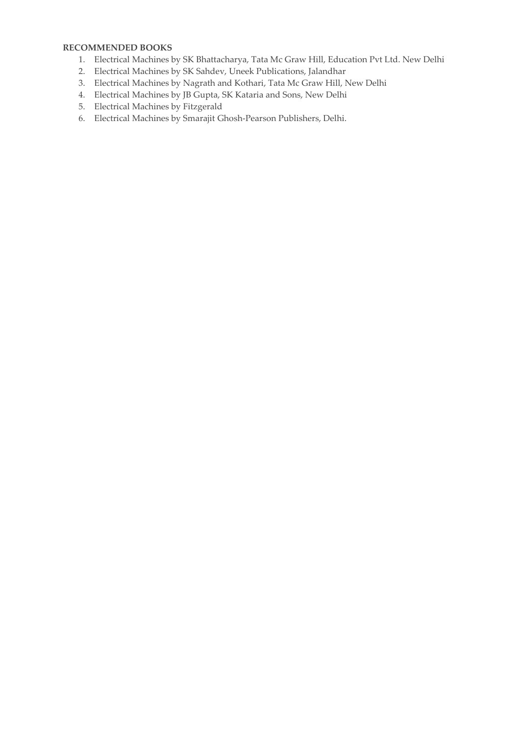### **RECOMMENDED BOOKS**

- 1. Electrical Machines by SK Bhattacharya, Tata Mc Graw Hill, Education Pvt Ltd. New Delhi
- 2. Electrical Machines by SK Sahdev, Uneek Publications, Jalandhar
- 3. Electrical Machines by Nagrath and Kothari, Tata Mc Graw Hill, New Delhi
- 4. Electrical Machines by JB Gupta, SK Kataria and Sons, New Delhi
- 5. Electrical Machines by Fitzgerald
- 6. Electrical Machines by Smarajit Ghosh-Pearson Publishers, Delhi.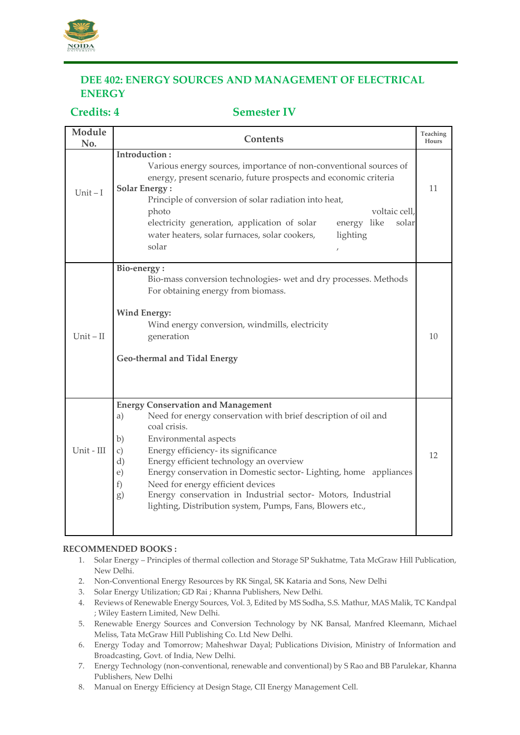

## **DEE 402: ENERGY SOURCES AND MANAGEMENT OF ELECTRICAL ENERGY**

### **Credits: 4 Semester IV**

| Module<br>No. | Contents                                                                                                                                                                                                                                                                                                                                                                                                                                                                                                                            | Teaching<br>Hours |
|---------------|-------------------------------------------------------------------------------------------------------------------------------------------------------------------------------------------------------------------------------------------------------------------------------------------------------------------------------------------------------------------------------------------------------------------------------------------------------------------------------------------------------------------------------------|-------------------|
| Unit $-I$     | Introduction:<br>Various energy sources, importance of non-conventional sources of<br>energy, present scenario, future prospects and economic criteria<br><b>Solar Energy:</b><br>Principle of conversion of solar radiation into heat,<br>voltaic cell,<br>photo<br>energy like<br>electricity generation, application of solar<br>solar<br>lighting<br>water heaters, solar furnaces, solar cookers,<br>solar<br>$\overline{1}$                                                                                                   | 11                |
| $Unit - II$   | Bio-energy:<br>Bio-mass conversion technologies- wet and dry processes. Methods<br>For obtaining energy from biomass.<br><b>Wind Energy:</b><br>Wind energy conversion, windmills, electricity<br>generation<br>Geo-thermal and Tidal Energy                                                                                                                                                                                                                                                                                        | 10                |
| Unit - III    | <b>Energy Conservation and Management</b><br>Need for energy conservation with brief description of oil and<br>a)<br>coal crisis.<br>Environmental aspects<br>b)<br>Energy efficiency- its significance<br>$\mathcal{C}$ )<br>Energy efficient technology an overview<br>d)<br>Energy conservation in Domestic sector-Lighting, home appliances<br>e)<br>Need for energy efficient devices<br>f)<br>Energy conservation in Industrial sector- Motors, Industrial<br>g)<br>lighting, Distribution system, Pumps, Fans, Blowers etc., | 12                |

### **RECOMMENDED BOOKS :**

- 1. Solar Energy Principles of thermal collection and Storage SP Sukhatme, Tata McGraw Hill Publication, New Delhi.
- 2. Non-Conventional Energy Resources by RK Singal, SK Kataria and Sons, New Delhi
- 3. Solar Energy Utilization; GD Rai ; Khanna Publishers, New Delhi.
- 4. Reviews of Renewable Energy Sources, Vol. 3, Edited by MS Sodha, S.S. Mathur, MAS Malik, TC Kandpal ; Wiley Eastern Limited, New Delhi.
- 5. Renewable Energy Sources and Conversion Technology by NK Bansal, Manfred Kleemann, Michael Meliss, Tata McGraw Hill Publishing Co. Ltd New Delhi.
- 6. Energy Today and Tomorrow; Maheshwar Dayal; Publications Division, Ministry of Information and Broadcasting, Govt. of India, New Delhi.
- 7. Energy Technology (non-conventional, renewable and conventional) by S Rao and BB Parulekar, Khanna Publishers, New Delhi
- 8. Manual on Energy Efficiency at Design Stage, CII Energy Management Cell.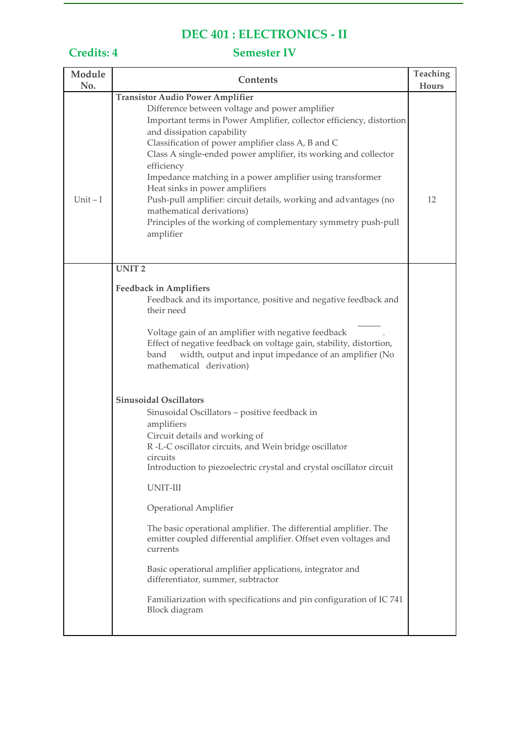# **DEC 401 : ELECTRONICS - II**

# **Credits: 4 Semester IV**

| Module<br>No. | Contents                                                                                                                                                                                                                                                                                                                                                                                                                                                                                                                                                                                                                                                                                                                                                                                                                                                                                                                                                                                                                           | Teaching<br>Hours |
|---------------|------------------------------------------------------------------------------------------------------------------------------------------------------------------------------------------------------------------------------------------------------------------------------------------------------------------------------------------------------------------------------------------------------------------------------------------------------------------------------------------------------------------------------------------------------------------------------------------------------------------------------------------------------------------------------------------------------------------------------------------------------------------------------------------------------------------------------------------------------------------------------------------------------------------------------------------------------------------------------------------------------------------------------------|-------------------|
| $Unit - I$    | <b>Transistor Audio Power Amplifier</b><br>Difference between voltage and power amplifier<br>Important terms in Power Amplifier, collector efficiency, distortion<br>and dissipation capability<br>Classification of power amplifier class A, B and C<br>Class A single-ended power amplifier, its working and collector<br>efficiency<br>Impedance matching in a power amplifier using transformer<br>Heat sinks in power amplifiers<br>Push-pull amplifier: circuit details, working and advantages (no<br>mathematical derivations)<br>Principles of the working of complementary symmetry push-pull<br>amplifier                                                                                                                                                                                                                                                                                                                                                                                                               | 12                |
|               | <b>UNIT2</b><br><b>Feedback in Amplifiers</b><br>Feedback and its importance, positive and negative feedback and<br>their need<br>Voltage gain of an amplifier with negative feedback<br>Effect of negative feedback on voltage gain, stability, distortion,<br>width, output and input impedance of an amplifier (No<br>band<br>mathematical derivation)<br><b>Sinusoidal Oscillators</b><br>Sinusoidal Oscillators - positive feedback in<br>amplifiers<br>Circuit details and working of<br>R-L-C oscillator circuits, and Wein bridge oscillator<br>circuits<br>Introduction to piezoelectric crystal and crystal oscillator circuit<br>UNIT-III<br><b>Operational Amplifier</b><br>The basic operational amplifier. The differential amplifier. The<br>emitter coupled differential amplifier. Offset even voltages and<br>currents<br>Basic operational amplifier applications, integrator and<br>differentiator, summer, subtractor<br>Familiarization with specifications and pin configuration of IC 741<br>Block diagram |                   |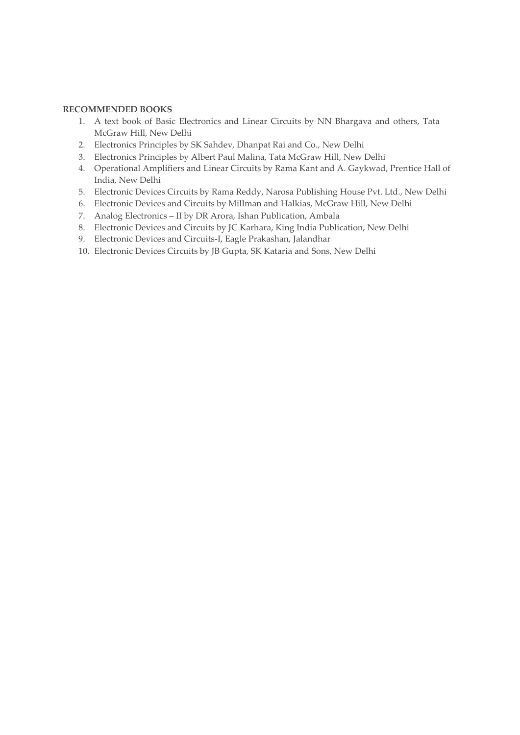### **RECOMMENDED BOOKS**

- 1. A text book of Basic Electronics and Linear Circuits by NN Bhargava and others, Tata McGraw Hill, New Delhi
- 2. Electronics Principles by SK Sahdev, Dhanpat Rai and Co., New Delhi
- 3. Electronics Principles by Albert Paul Malina, Tata McGraw Hill, New Delhi
- 4. Operational Amplifiers and Linear Circuits by Rama Kant and A. Gaykwad, Prentice Hall of India, New Delhi
- 5. Electronic Devices Circuits by Rama Reddy, Narosa Publishing House Pvt. Ltd., New Delhi
- 6. Electronic Devices and Circuits by Millman and Halkias, McGraw Hill, New Delhi
- 7. Analog Electronics II by DR Arora, Ishan Publication, Ambala
- 8. Electronic Devices and Circuits by JC Karhara, King India Publication, New Delhi
- 9. Electronic Devices and Circuits-I, Eagle Prakashan, Jalandhar
- 10. Electronic Devices Circuits by JB Gupta, SK Kataria and Sons, New Delhi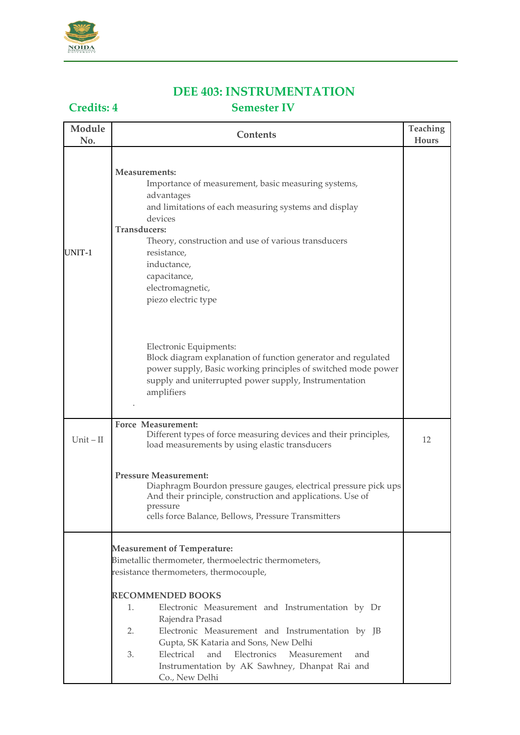

## **DEE 403: INSTRUMENTATION Credits: 4 Semester IV**

## **Module Contents Teaching No. Hours Measurements:** Importance of measurement, basic measuring systems, advantages and limitations of each measuring systems and display devices **Transducers:** UNIT-1 Theory, construction and use of various transducers resistance, inductance, capacitance, electromagnetic, piezo electric type Electronic Equipments: Block diagram explanation of function generator and regulated power supply, Basic working principles of switched mode power supply and uniterrupted power supply, Instrumentation amplifiers . **Force Measurement:** Unit – II Different types of force measuring devices and their principles, 12<br>load measurements by using elastic transducers **Pressure Measurement:** Diaphragm Bourdon pressure gauges, electrical pressure pick ups And their principle, construction and applications. Use of pressure cells force Balance, Bellows, Pressure Transmitters **Measurement of Temperature:** Bimetallic thermometer, thermoelectric thermometers, resistance thermometers, thermocouple, **RECOMMENDED BOOKS** 1. Electronic Measurement and Instrumentation by Dr Rajendra Prasad 2. Electronic Measurement and Instrumentation by JB Gupta, SK Kataria and Sons, New Delhi 3. Electrical and Electronics Measurement and Instrumentation by AK Sawhney, Dhanpat Rai and Co., New Delhi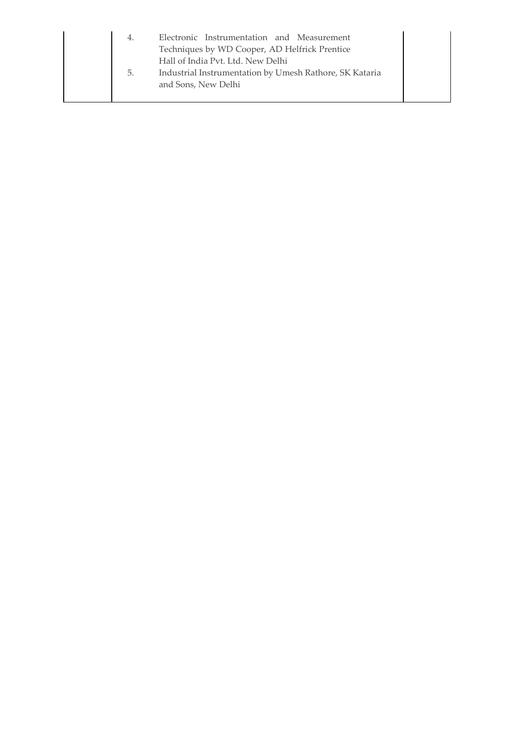| 4.<br>5. | Electronic Instrumentation and Measurement<br>Techniques by WD Cooper, AD Helfrick Prentice<br>Hall of India Pvt. Ltd. New Delhi<br>Industrial Instrumentation by Umesh Rathore, SK Kataria |
|----------|---------------------------------------------------------------------------------------------------------------------------------------------------------------------------------------------|
|          | and Sons, New Delhi                                                                                                                                                                         |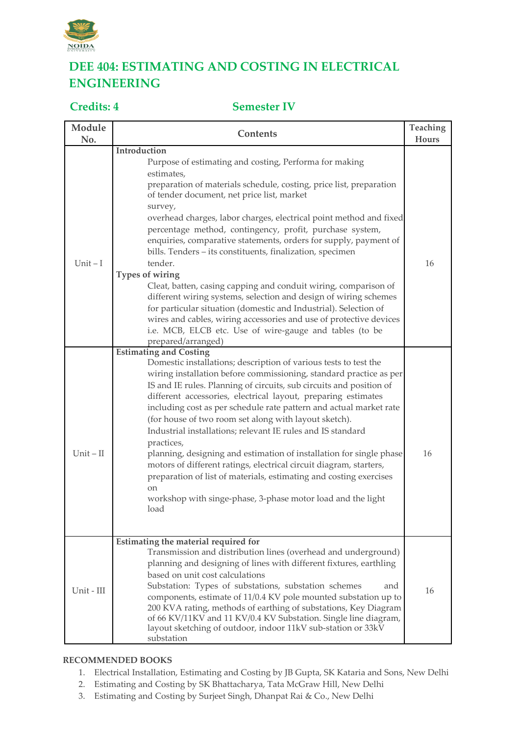

## **DEE 404: ESTIMATING AND COSTING IN ELECTRICAL ENGINEERING**

## **Credits: 4 Semester IV**

| Module<br>No. | Contents                                                                                                                                                                                                                                                                                                                                                                                                                                                                                                                                                                                                                                                                                                                                                                                                                                          | Teaching<br>Hours |
|---------------|---------------------------------------------------------------------------------------------------------------------------------------------------------------------------------------------------------------------------------------------------------------------------------------------------------------------------------------------------------------------------------------------------------------------------------------------------------------------------------------------------------------------------------------------------------------------------------------------------------------------------------------------------------------------------------------------------------------------------------------------------------------------------------------------------------------------------------------------------|-------------------|
|               | Introduction                                                                                                                                                                                                                                                                                                                                                                                                                                                                                                                                                                                                                                                                                                                                                                                                                                      |                   |
| $Unit - I$    | Purpose of estimating and costing, Performa for making<br>estimates,<br>preparation of materials schedule, costing, price list, preparation<br>of tender document, net price list, market<br>survey,<br>overhead charges, labor charges, electrical point method and fixed<br>percentage method, contingency, profit, purchase system,<br>enquiries, comparative statements, orders for supply, payment of<br>bills. Tenders - its constituents, finalization, specimen<br>tender.<br>Types of wiring<br>Cleat, batten, casing capping and conduit wiring, comparison of<br>different wiring systems, selection and design of wiring schemes<br>for particular situation (domestic and Industrial). Selection of<br>wires and cables, wiring accessories and use of protective devices<br>i.e. MCB, ELCB etc. Use of wire-gauge and tables (to be | 16                |
|               | prepared/arranged)                                                                                                                                                                                                                                                                                                                                                                                                                                                                                                                                                                                                                                                                                                                                                                                                                                |                   |
| $Unit - II$   | <b>Estimating and Costing</b><br>Domestic installations; description of various tests to test the<br>wiring installation before commissioning, standard practice as per<br>IS and IE rules. Planning of circuits, sub circuits and position of<br>different accessories, electrical layout, preparing estimates<br>including cost as per schedule rate pattern and actual market rate<br>(for house of two room set along with layout sketch).<br>Industrial installations; relevant IE rules and IS standard<br>practices,<br>planning, designing and estimation of installation for single phase<br>motors of different ratings, electrical circuit diagram, starters,<br>preparation of list of materials, estimating and costing exercises<br><sub>on</sub><br>workshop with singe-phase, 3-phase motor load and the light<br>load            | 16                |
| Unit - III    | Estimating the material required for<br>Transmission and distribution lines (overhead and underground)<br>planning and designing of lines with different fixtures, earthling<br>based on unit cost calculations<br>Substation: Types of substations, substation schemes<br>and<br>components, estimate of 11/0.4 KV pole mounted substation up to<br>200 KVA rating, methods of earthing of substations, Key Diagram<br>of 66 KV/11KV and 11 KV/0.4 KV Substation. Single line diagram,<br>layout sketching of outdoor, indoor 11kV sub-station or 33kV<br>substation                                                                                                                                                                                                                                                                             | 16                |

### **RECOMMENDED BOOKS**

- 1. Electrical Installation, Estimating and Costing by JB Gupta, SK Kataria and Sons, New Delhi
- 2. Estimating and Costing by SK Bhattacharya, Tata McGraw Hill, New Delhi
- 3. Estimating and Costing by Surjeet Singh, Dhanpat Rai & Co., New Delhi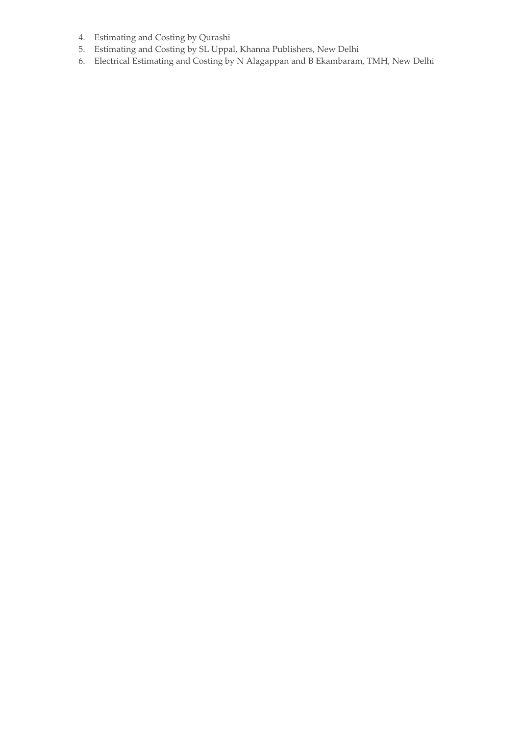- 4. Estimating and Costing by Qurashi
- 5. Estimating and Costing by SL Uppal, Khanna Publishers, New Delhi
- 6. Electrical Estimating and Costing by N Alagappan and B Ekambaram, TMH, New Delhi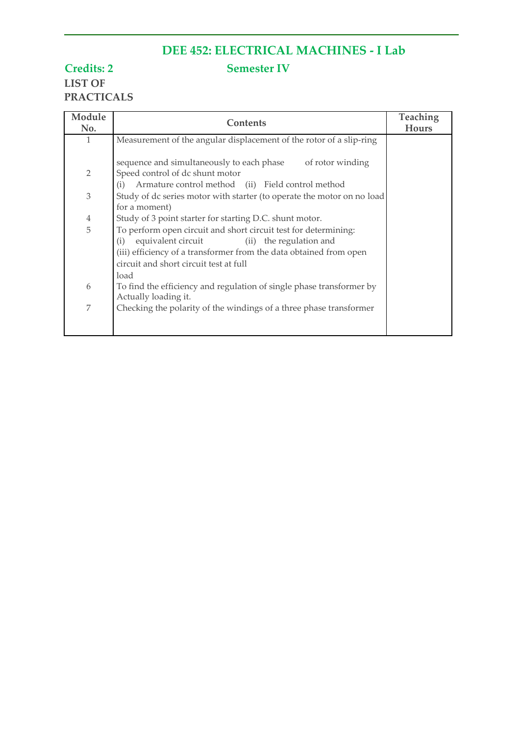# **DEE 452: ELECTRICAL MACHINES - I Lab**

**Credits: 2 Semester IV LIST OF PRACTICALS**

| Module<br>No.  | <b>Contents</b>                                                                                                         | Teaching<br><b>Hours</b> |
|----------------|-------------------------------------------------------------------------------------------------------------------------|--------------------------|
| 1              |                                                                                                                         |                          |
|                | Measurement of the angular displacement of the rotor of a slip-ring                                                     |                          |
|                | sequence and simultaneously to each phase<br>of rotor winding                                                           |                          |
| 2              | Speed control of dc shunt motor                                                                                         |                          |
|                | Armature control method (ii) Field control method<br>(i)                                                                |                          |
| $\mathfrak{Z}$ | Study of dc series motor with starter (to operate the motor on no load                                                  |                          |
|                | for a moment)                                                                                                           |                          |
| $\overline{4}$ | Study of 3 point starter for starting D.C. shunt motor.                                                                 |                          |
| 5              | To perform open circuit and short circuit test for determining:<br>equivalent circuit<br>(ii) the regulation and<br>(i) |                          |
|                | (iii) efficiency of a transformer from the data obtained from open                                                      |                          |
|                | circuit and short circuit test at full                                                                                  |                          |
|                | load                                                                                                                    |                          |
| 6              | To find the efficiency and regulation of single phase transformer by                                                    |                          |
|                | Actually loading it.                                                                                                    |                          |
| 7              | Checking the polarity of the windings of a three phase transformer                                                      |                          |
|                |                                                                                                                         |                          |
|                |                                                                                                                         |                          |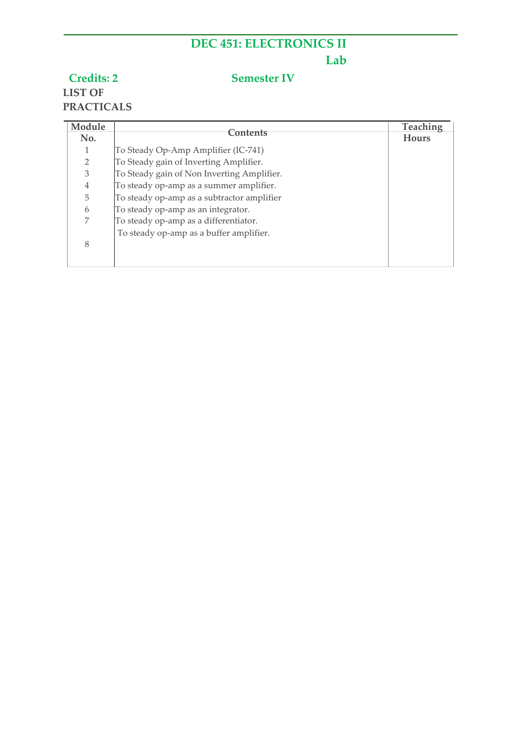# **DEC 451: ELECTRONICS II Lab**

## **Credits: 2 Semester IV**

# **LIST OF PRACTICALS**

| Module<br>No.  | Contents                                   | <b>Teaching</b><br><b>Hours</b> |
|----------------|--------------------------------------------|---------------------------------|
|                | To Steady Op-Amp Amplifier (IC-741)        |                                 |
| $\overline{2}$ | To Steady gain of Inverting Amplifier.     |                                 |
| 3              | To Steady gain of Non Inverting Amplifier. |                                 |
| 4              | To steady op-amp as a summer amplifier.    |                                 |
| 5              | To steady op-amp as a subtractor amplifier |                                 |
| 6              | To steady op-amp as an integrator.         |                                 |
| 7              | To steady op-amp as a differentiator.      |                                 |
|                | To steady op-amp as a buffer amplifier.    |                                 |
| 8              |                                            |                                 |
|                |                                            |                                 |